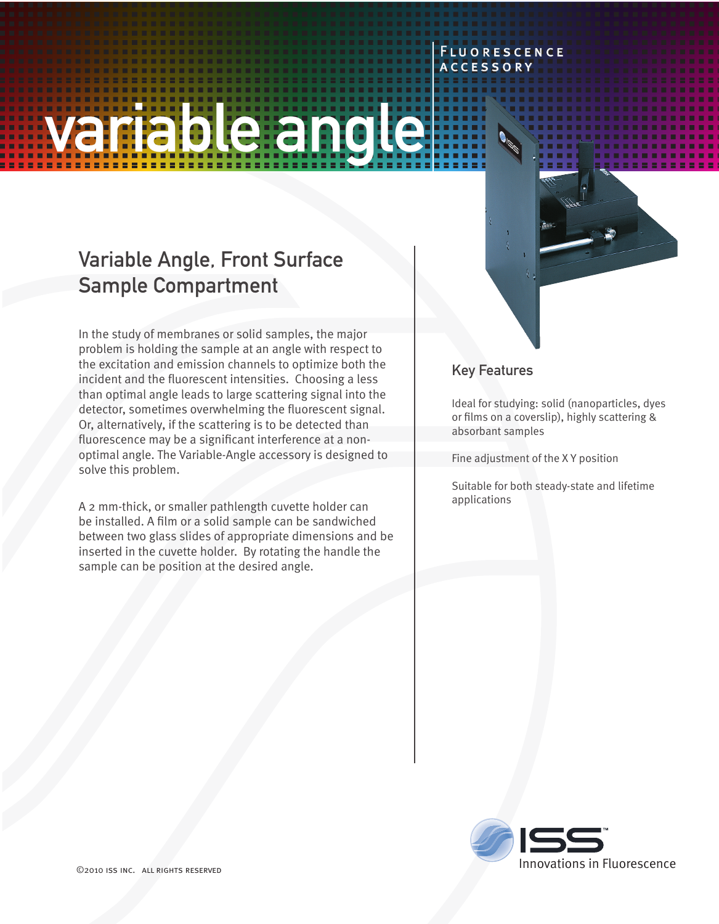# variable angle

# Variable Angle, Front Surface Sample Compartment

In the study of membranes or solid samples, the major problem is holding the sample at an angle with respect to the excitation and emission channels to optimize both the incident and the fluorescent intensities. Choosing a less than optimal angle leads to large scattering signal into the detector, sometimes overwhelming the fluorescent signal. Or, alternatively, if the scattering is to be detected than fluorescence may be a significant interference at a nonoptimal angle. The Variable-Angle accessory is designed to solve this problem.

A 2 mm-thick, or smaller pathlength cuvette holder can be installed. A film or a solid sample can be sandwiched between two glass slides of appropriate dimensions and be inserted in the cuvette holder. By rotating the handle the sample can be position at the desired angle.

### Key Features

**FLUORESCENCE ACCESSORY** 

Ideal for studying: solid (nanoparticles, dyes or films on a coverslip), highly scattering & absorbant samples

Fine adjustment of the X Y position

Suitable for both steady-state and lifetime applications